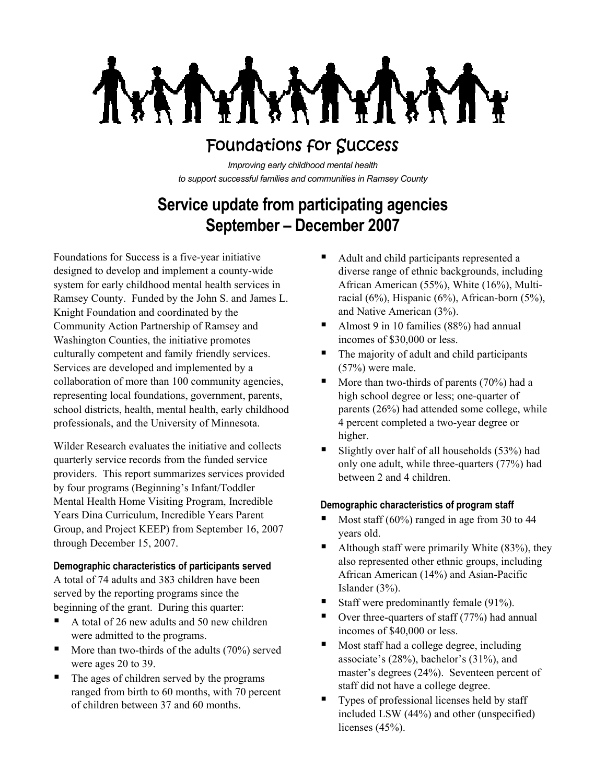# Foundations for Success

*Improving early childhood mental health to support successful families and communities in Ramsey County*

# **Service update from participating agencies September – December 2007**

Foundations for Success is a five-year initiative designed to develop and implement a county-wide system for early childhood mental health services in Ramsey County. Funded by the John S. and James L. Knight Foundation and coordinated by the Community Action Partnership of Ramsey and Washington Counties, the initiative promotes culturally competent and family friendly services. Services are developed and implemented by a collaboration of more than 100 community agencies, representing local foundations, government, parents, school districts, health, mental health, early childhood professionals, and the University of Minnesota.

Wilder Research evaluates the initiative and collects quarterly service records from the funded service providers. This report summarizes services provided by four programs (Beginning's Infant/Toddler Mental Health Home Visiting Program, Incredible Years Dina Curriculum, Incredible Years Parent Group, and Project KEEP) from September 16, 2007 through December 15, 2007.

# **Demographic characteristics of participants served**

A total of 74 adults and 383 children have been served by the reporting programs since the beginning of the grant. During this quarter:

- A total of 26 new adults and 50 new children were admitted to the programs.
- $\blacksquare$  More than two-thirds of the adults (70%) served were ages 20 to 39.
- The ages of children served by the programs ranged from birth to 60 months, with 70 percent of children between 37 and 60 months.
- Adult and child participants represented a diverse range of ethnic backgrounds, including African American (55%), White (16%), Multiracial (6%), Hispanic (6%), African-born (5%), and Native American (3%).
- Almost 9 in 10 families (88%) had annual incomes of \$30,000 or less.
- The majority of adult and child participants (57%) were male.
- $\blacksquare$  More than two-thirds of parents (70%) had a high school degree or less; one-quarter of parents (26%) had attended some college, while 4 percent completed a two-year degree or higher.
- Slightly over half of all households  $(53%)$  had only one adult, while three-quarters (77%) had between 2 and 4 children.

# **Demographic characteristics of program staff**

- Most staff  $(60\%)$  ranged in age from 30 to 44 years old.
- $\blacksquare$  Although staff were primarily White (83%), they also represented other ethnic groups, including African American (14%) and Asian-Pacific Islander (3%).
- Staff were predominantly female  $(91\%)$ .
- Over three-quarters of staff (77%) had annual incomes of \$40,000 or less.
- Most staff had a college degree, including associate's (28%), bachelor's (31%), and master's degrees (24%). Seventeen percent of staff did not have a college degree.
- Types of professional licenses held by staff included LSW (44%) and other (unspecified) licenses (45%).